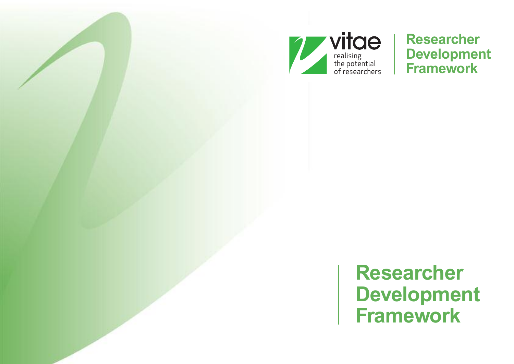

**Researcher Development Framework**

**Researcher Development Framework**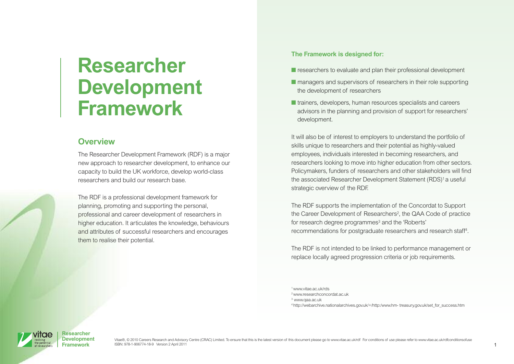# **Researcher Development Framework**

## **Overview**

The Researcher Development Framework (RDF) is a major new approach to researcher development, to enhance our capacity to build the UK workforce, develop world-class researchers and build our research base.

The RDF is a professional development framework for planning, promoting and supporting the personal, professional and career development of researchers in higher education. It articulates the knowledge, behaviours and attributes of successful researchers and encourages them to realise their potential.

#### **The Framework is designed for:**

- **■** researchers to evaluate and plan their professional development
- managers and supervisors of researchers in their role supporting the development of researchers
- **■** trainers, developers, human resources specialists and careers advisors in the planning and provision of support for researchers' development.

It will also be of interest to employers to understand the portfolio of skills unique to researchers and their potential as highly-valued employees, individuals interested in becoming researchers, and researchers looking to move into higher education from other sectors. Policymakers, funders of researchers and other stakeholders will find the associated Researcher Development Statement (RDS) <sup>1</sup> a useful strategic overview of the RDF.

The RDF supports the implementation of the Concordat to Support the Career Development of Researchers<sup>2</sup>, the QAA Code of practice for research degree programmes<sup>3</sup> and the 'Roberts' recommendations for postgraduate researchers and research staff 4 .

The RDF is not intended to be linked to performance management or replace locally agreed progression criteria or job requirements.

1[www.vitae.ac.uk/rds](http://www.vitae.ac.uk/rds)

2[www.researchconcordat.ac.uk](http://www.researchconcordat.ac.uk)



<sup>3</sup> [www.qaa.ac.uk](http://www.qaa.ac.uk)

<sup>4</sup> [http://webarchive.nationalarchives.gov.uk/+/http:/www.hm-](http://webarchive.nationalarchives.gov.uk/+/http:/www.hm-treasury.gov.uk/set_for_success.htm) treasury.gov.uk/set\_for\_success.htm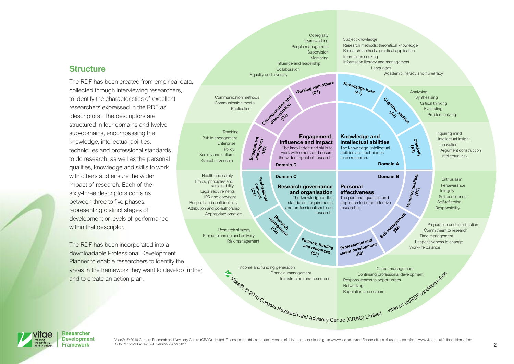#### **Structure**

The RDF has been created from empirical data, collected through interviewing researchers, to identify the characteristics of excellent researchers expressed in the RDF as 'descriptors'. The descriptors are structured in four domains and twelve sub-domains, encompassing the knowledge, intellectual abilities, techniques and professional standards to do research, as well as the personal qualities, knowledge and skills to work with others and ensure the wider impact of research. Each of the sixty-three descriptors contains between three to five phases, representing distinct stages of development or levels of performance within that descriptor.

The RDF has been incorporated into a downloadable Professional Development Planner to enable researchers to identify the areas in the framework they want to develop further and to create an action plan.

Income and funding generation Financial management Infrastructure and resources Career management Continuing professional development Responsiveness to opportunities Networking Reputation and esteem Analysing Synthesising Critical thinking Evaluating Problem solving Inquiring mind Intellectual insight Innovation Argument construction Intellectual risk Communication methods Communication media Publication **Teaching** Public engagement Enterprise Policy Society and culture Global citizenship Enthusiasm Perseverance Integrity Self-confidence Self-reflection Responsibility Health and safety Ethics, principles and sustainability Legal requirements IPR and copyright Respect and confidentiality Attribution and co-authorship Appropriate practice Preparation and prioritisation Commitment to research Time management Responsiveness to change Work-life balance Research strategy Project planning and delivery Risk management Collegiality Team working People management Supervision Mentoring Influence and leadership Collaboration Equality and diversity Subject knowledge Research methods: theoretical knowledge Research methods: practical application Information seeking Information literacy and management **Languages** Academic literacy and numeracy **Engagement, influence and impact** The knowledge and skills to work with others and ensure the wider impact of research. **Knowledge and intellectual abilities** The knowledge, intellectual abilities and techniques to do research. **Research governance and organisation** The knowledge of the standards, requirements and professionalism to do research. **Personal effectiveness** The personal qualities and approach to be an effective researcher. **Domain D Domain A Domain C** Domain B **Knowl ( e A dge base 1) Finance, funding and r ( C esources 3) Creativity (A3) Professional conduct (C1) Cognitive abilities (A2) Research management (C2) Professional and career development (B3) Working with others (D1)** Self-ma **(B2) Communication and dissemination (D2) Personal qualities (B1) Engagement and impact (D3)** Financial management<br>
Infrastructure and resources<br>
Responsiveness to opportunities<br>
Responsiveness to opportunities<br>
Responsiveness to opportunities<br>
Responsiveness to opportunities<br>
Responsiveness to opportunities<br>
Respo



**Researcher Development**

Vitae®, @ 2010 Careers Research and Advisory Centre (CRAC) Limited. To ensure that this is the latest version of this document please go to [www.vitae.ac.uk/rdf](http://www.vitae.ac.uk/rdf) For conditions of use please refer to www.vitae.ac.uk/rdfcondi ISBN: 978-1-906774-18-9 Version 2 April 2011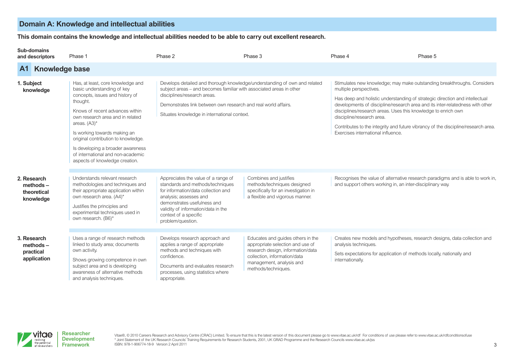# **Domain A: Knowledge and intellectual abilities**

This domain contains the knowledge and intellectual abilities needed to be able to carry out excellent research.

#### **Sub-domains**

| and descriptors                                        | Phase 1                                                                                                                                                                                                                                                                                                                                                                                     | Phase 2                                                                                                                                                                                                                                                      | Phase 3                                                                                                                                                                                       | Phase 4                                                                                                                                                    | Phase 5                                                                                                                                                                                                                                                                                                                      |
|--------------------------------------------------------|---------------------------------------------------------------------------------------------------------------------------------------------------------------------------------------------------------------------------------------------------------------------------------------------------------------------------------------------------------------------------------------------|--------------------------------------------------------------------------------------------------------------------------------------------------------------------------------------------------------------------------------------------------------------|-----------------------------------------------------------------------------------------------------------------------------------------------------------------------------------------------|------------------------------------------------------------------------------------------------------------------------------------------------------------|------------------------------------------------------------------------------------------------------------------------------------------------------------------------------------------------------------------------------------------------------------------------------------------------------------------------------|
| A1                                                     | <b>Knowledge base</b>                                                                                                                                                                                                                                                                                                                                                                       |                                                                                                                                                                                                                                                              |                                                                                                                                                                                               |                                                                                                                                                            |                                                                                                                                                                                                                                                                                                                              |
| 1. Subject<br>knowledge                                | Has, at least, core knowledge and<br>basic understanding of key<br>concepts, issues and history of<br>thought.<br>Knows of recent advances within<br>own research area and in related<br>areas. $(A3)^*$<br>Is working towards making an<br>original contribution to knowledge.<br>Is developing a broader awareness<br>of international and non-academic<br>aspects of knowledge creation. | subject areas – and becomes familiar with associated areas in other<br>disciplines/research areas.<br>Demonstrates link between own research and real world affairs.<br>Situates knowledge in international context.                                         | Develops detailed and thorough knowledge/understanding of own and related                                                                                                                     | multiple perspectives.<br>disciplines/research areas. Uses this knowledge to enrich own<br>discipline/research area.<br>Exercises international influence. | Stimulates new knowledge; may make outstanding breakthroughs. Considers<br>Has deep and holistic understanding of strategic direction and intellectual<br>developments of discipline/research area and its inter-relatedness with other<br>Contributes to the integrity and future vibrancy of the discipline/research area. |
| 2. Research<br>$methods -$<br>theoretical<br>knowledge | Understands relevant research<br>methodologies and techniques and<br>their appropriate application within<br>own research area. (A4)*<br>Justifies the principles and<br>experimental techniques used in<br>own research. (B6)*                                                                                                                                                             | Appreciates the value of a range of<br>standards and methods/techniques<br>for information/data collection and<br>analysis; assesses and<br>demonstrates usefulness and<br>validity of information/data in the<br>context of a specific<br>problem/question. | Combines and justifies<br>methods/techniques designed<br>specifically for an investigation in<br>a flexible and vigorous manner.                                                              | and support others working in, an inter-disciplinary way.                                                                                                  | Recognises the value of alternative research paradigms and is able to work in,                                                                                                                                                                                                                                               |
| 3. Research<br>$methods -$<br>practical<br>application | Uses a range of research methods<br>linked to study area; documents<br>own activity.<br>Shows growing competence in own<br>subject area and is developing<br>awareness of alternative methods<br>and analysis techniques.                                                                                                                                                                   | Develops research approach and<br>applies a range of appropriate<br>methods and techniques with<br>confidence.<br>Documents and evaluates research<br>processes, using statistics where<br>appropriate.                                                      | Educates and guides others in the<br>appropriate selection and use of<br>research design, information/data<br>collection, information/data<br>management, analysis and<br>methods/techniques. | analysis techniques.<br>Sets expectations for application of methods locally, nationally and<br>internationally.                                           | Creates new models and hypotheses, research designs, data collection and                                                                                                                                                                                                                                                     |



Vitae®, @ 2010 Careers Research and Advisory Centre (CRAC) Limited. To ensure that this is the latest version of this document please go to [www.vitae.ac.uk/rdf](http://www.vitae.ac.uk/rdf) For conditions of use please refer to www.vitae.ac.uk/rdfcondi \* Joint Statement of the UK Research Councils' Training Requirements for Research Students, 2001, UK GRAD Programme and the Research Councils [www.vitae.ac.uk/jss](http://www.vitae.ac.uk/jss) ISBN: 978-1-906774-18-9 Version 2 April 2011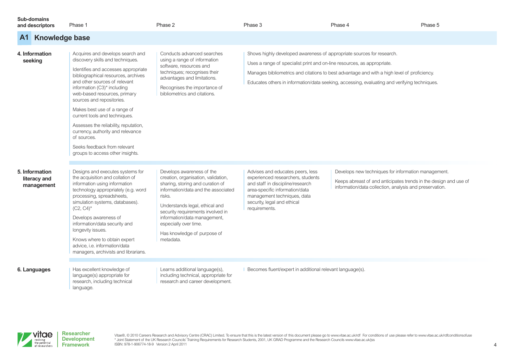#### **Sub-domains**

| Sub-domains<br>and descriptors               | Phase 1                                                                                                                                                                                                                                                                                                                                                                                                                                                                                                           | Phase 2                                                                                                                                                                                                                                                                                                                           | Phase 3                                                                                                                                                                                                                    | Phase 4                                                                                                                                                                                     | Phase 5 |
|----------------------------------------------|-------------------------------------------------------------------------------------------------------------------------------------------------------------------------------------------------------------------------------------------------------------------------------------------------------------------------------------------------------------------------------------------------------------------------------------------------------------------------------------------------------------------|-----------------------------------------------------------------------------------------------------------------------------------------------------------------------------------------------------------------------------------------------------------------------------------------------------------------------------------|----------------------------------------------------------------------------------------------------------------------------------------------------------------------------------------------------------------------------|---------------------------------------------------------------------------------------------------------------------------------------------------------------------------------------------|---------|
| <b>Knowledge base</b><br>A <sub>1</sub>      |                                                                                                                                                                                                                                                                                                                                                                                                                                                                                                                   |                                                                                                                                                                                                                                                                                                                                   |                                                                                                                                                                                                                            |                                                                                                                                                                                             |         |
| 4. Information<br>seeking                    | Acquires and develops search and<br>discovery skills and techniques.<br>Identifies and accesses appropriate<br>bibliographical resources, archives<br>and other sources of relevant<br>information (C3)* including<br>web-based resources, primary<br>sources and repositories.<br>Makes best use of a range of<br>current tools and techniques.<br>Assesses the reliability, reputation,<br>currency, authority and relevance<br>of sources.<br>Seeks feedback from relevant<br>groups to access other insights. | Conducts advanced searches<br>using a range of information<br>software, resources and<br>techniques; recognises their<br>advantages and limitations.<br>Recognises the importance of<br>bibliometrics and citations.                                                                                                              | Shows highly developed awareness of appropriate sources for research.<br>Uses a range of specialist print and on-line resources, as appropriate.                                                                           | Manages bibliometrics and citations to best advantage and with a high level of proficiency.<br>Educates others in information/data seeking, accessing, evaluating and verifying techniques. |         |
| 5. Information<br>literacy and<br>management | Designs and executes systems for<br>the acquisition and collation of<br>information using information<br>technology appropriately (e.g. word<br>processing, spreadsheets,<br>simulation systems, databases).<br>$(C2, C4)^*$<br>Develops awareness of<br>information/data security and<br>longevity issues.<br>Knows where to obtain expert<br>advice, i.e. information/data<br>managers, archivists and librarians.                                                                                              | Develops awareness of the<br>creation, organisation, validation,<br>sharing, storing and curation of<br>information/data and the associated<br>risks.<br>Understands legal, ethical and<br>security requirements involved in<br>information/data management,<br>especially over time.<br>Has knowledge of purpose of<br>metadata. | Advises and educates peers, less<br>experienced researchers, students<br>and staff in discipline/research<br>area-specific information/data<br>management techniques, data<br>security, legal and ethical<br>requirements. | Develops new techniques for information management.<br>Keeps abreast of and anticipates trends in the design and use of<br>information/data collection, analysis and preservation.          |         |
| 6. Languages                                 | Has excellent knowledge of<br>language(s) appropriate for<br>research, including technical<br>language.                                                                                                                                                                                                                                                                                                                                                                                                           | Learns additional language(s),<br>including technical, appropriate for<br>research and career development.                                                                                                                                                                                                                        | Becomes fluent/expert in additional relevant language(s).                                                                                                                                                                  |                                                                                                                                                                                             |         |



Vitae®, @ 2010 Careers Research and Advisory Centre (CRAC) Limited. To ensure that this is the latest version of this document please go to [www.vitae.ac.uk/rdf](http://www.vitae.ac.uk/rdf) For conditions of use please refer to www.vitae.ac.uk/rdfoondi \* Joint Statement of the UK Research Councils' Training Requirements for Research Students, 2001, UK GRAD Programme and the Research Councils [www.vitae.ac.uk/jss](http://www.vitae.ac.uk/jss) ISBN: 978-1-906774-18-9 Version 2 April 2011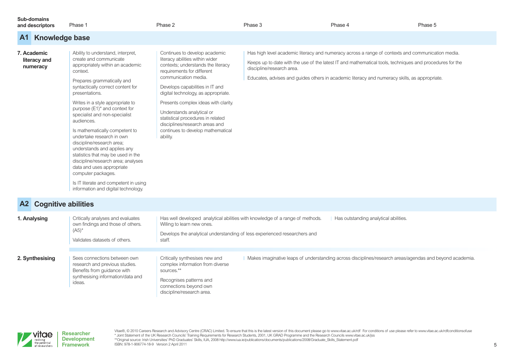| Sub-domains<br>and descriptors          | Phase 1                                                                                                                                                                                                                                                                                                                                                                                                                                                                                                                                                                                                                                                                    | Phase 2                                                                                                                                                                                                                                                                                                                                                                                                                             | Phase 3                                                                                                                    | Phase 4 | Phase 5                                                                                                                                                                                                       |
|-----------------------------------------|----------------------------------------------------------------------------------------------------------------------------------------------------------------------------------------------------------------------------------------------------------------------------------------------------------------------------------------------------------------------------------------------------------------------------------------------------------------------------------------------------------------------------------------------------------------------------------------------------------------------------------------------------------------------------|-------------------------------------------------------------------------------------------------------------------------------------------------------------------------------------------------------------------------------------------------------------------------------------------------------------------------------------------------------------------------------------------------------------------------------------|----------------------------------------------------------------------------------------------------------------------------|---------|---------------------------------------------------------------------------------------------------------------------------------------------------------------------------------------------------------------|
| A <sub>1</sub>                          | <b>Knowledge base</b>                                                                                                                                                                                                                                                                                                                                                                                                                                                                                                                                                                                                                                                      |                                                                                                                                                                                                                                                                                                                                                                                                                                     |                                                                                                                            |         |                                                                                                                                                                                                               |
| 7. Academic<br>literacy and<br>numeracy | Ability to understand, interpret,<br>create and communicate<br>appropriately within an academic<br>context.<br>Prepares grammatically and<br>syntactically correct content for<br>presentations.<br>Writes in a style appropriate to<br>purpose (E1) <sup>*</sup> and context for<br>specialist and non-specialist<br>audiences.<br>Is mathematically competent to<br>undertake research in own<br>discipline/research area;<br>understands and applies any<br>statistics that may be used in the<br>discipline/research area; analyses<br>data and uses appropriate<br>computer packages.<br>Is IT literate and competent in using<br>information and digital technology. | Continues to develop academic<br>literacy abilities within wider<br>contexts; understands the literacy<br>requirements for different<br>communication media.<br>Develops capabilities in IT and<br>digital technology, as appropriate.<br>Presents complex ideas with clarity.<br>Understands analytical or<br>statistical procedures in related<br>disciplines/research areas and<br>continues to develop mathematical<br>ability. | discipline/research area.<br>Educates, advises and guides others in academic literacy and numeracy skills, as appropriate. |         | Has high level academic literacy and numeracy across a range of contexts and communication media.<br>Keeps up to date with the use of the latest IT and mathematical tools, techniques and procedures for the |

# **A2 Cognitive abilities**

| 1. Analysing    | Critically analyses and evaluates<br>own findings and those of others.<br>$(A5)^*$<br>Validates datasets of others.                          | Has outstanding analytical abilities.<br>Has well developed analytical abilities with knowledge of a range of methods.<br>Willing to learn new ones.<br>Develops the analytical understanding of less experienced researchers and<br>staff.                                   |
|-----------------|----------------------------------------------------------------------------------------------------------------------------------------------|-------------------------------------------------------------------------------------------------------------------------------------------------------------------------------------------------------------------------------------------------------------------------------|
| 2. Synthesising | Sees connections between own<br>research and previous studies.<br>Benefits from quidance with<br>synthesising information/data and<br>ideas. | Makes imaginative leaps of understanding across disciplines/research areas/agendas and beyond academia.<br>Critically synthesises new and<br>complex information from diverse<br>sources.**<br>Recognises patterns and<br>connections beyond own<br>discipline/research area. |

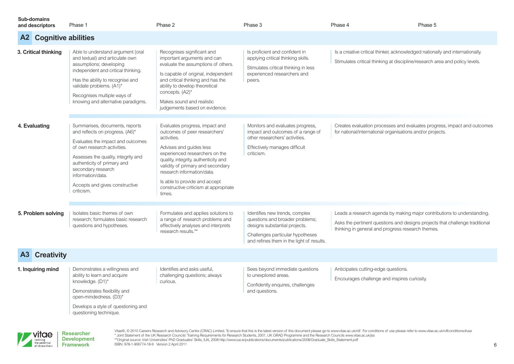| <b>Sub-domains</b><br>and descriptors | Phase 1                                                                                                                                                                                                                                                                                                | Phase 2                                                                                                                                                                                                                                                                                                                                    | Phase 3                                                                                                                                                                             | Phase 4                                                                                                                                                     | Phase 5                                                                                                                                                 |
|---------------------------------------|--------------------------------------------------------------------------------------------------------------------------------------------------------------------------------------------------------------------------------------------------------------------------------------------------------|--------------------------------------------------------------------------------------------------------------------------------------------------------------------------------------------------------------------------------------------------------------------------------------------------------------------------------------------|-------------------------------------------------------------------------------------------------------------------------------------------------------------------------------------|-------------------------------------------------------------------------------------------------------------------------------------------------------------|---------------------------------------------------------------------------------------------------------------------------------------------------------|
| <b>Cognitive abilities</b><br>A2      |                                                                                                                                                                                                                                                                                                        |                                                                                                                                                                                                                                                                                                                                            |                                                                                                                                                                                     |                                                                                                                                                             |                                                                                                                                                         |
| 3. Critical thinking                  | Able to understand argument (oral<br>and textual) and articulate own<br>assumptions; developing<br>independent and critical thinking.<br>Has the ability to recognise and<br>validate problems. (A1)*<br>Recognises multiple ways of<br>knowing and alternative paradigms.                             | Recognises significant and<br>important arguments and can<br>evaluate the assumptions of others.<br>Is capable of original, independent<br>and critical thinking and has the<br>ability to develop theoretical<br>concepts. (A2)*<br>Makes sound and realistic<br>judgements based on evidence.                                            | Is proficient and confident in<br>applying critical thinking skills.<br>Stimulates critical thinking in less<br>experienced researchers and<br>peers.                               | Is a creative critical thinker, acknowledged nationally and internationally.<br>Stimulates critical thinking at discipline/research area and policy levels. |                                                                                                                                                         |
| 4. Evaluating                         | Summarises, documents, reports<br>and reflects on progress. (A6)*<br>Evaluates the impact and outcomes<br>of own research activities.<br>Assesses the quality, integrity and<br>authenticity of primary and<br>secondary research<br>information/data.<br>Accepts and gives constructive<br>criticism. | Evaluates progress, impact and<br>outcomes of peer researchers'<br>activities.<br>Advises and guides less<br>experienced researchers on the<br>quality, integrity, authenticity and<br>validity of primary and secondary<br>research information/data.<br>Is able to provide and accept<br>constructive criticism at appropriate<br>times. | Monitors and evaluates progress,<br>impact and outcomes of a range of<br>other researchers' activities.<br>Effectively manages difficult<br>criticism.                              | for national/international organisations and/or projects.                                                                                                   | Creates evaluation processes and evaluates progress, impact and outcomes                                                                                |
| 5. Problem solving                    | Isolates basic themes of own<br>research; formulates basic research<br>questions and hypotheses.                                                                                                                                                                                                       | Formulates and applies solutions to<br>a range of research problems and<br>effectively analyses and interprets<br>research results.**                                                                                                                                                                                                      | Identifies new trends, complex<br>questions and broader problems;<br>designs substantial projects.<br>Challenges particular hypotheses<br>and refines them in the light of results. | thinking in general and progress research themes.                                                                                                           | Leads a research agenda by making major contributions to understanding.<br>Asks the pertinent questions and designs projects that challenge traditional |
| <b>A3</b> Creativity                  |                                                                                                                                                                                                                                                                                                        |                                                                                                                                                                                                                                                                                                                                            |                                                                                                                                                                                     |                                                                                                                                                             |                                                                                                                                                         |
| 1. Inquiring mind                     | Demonstrates a willingness and<br>ability to learn and acquire<br>knowledge. (D1)*<br>Demonstrates flexibility and<br>open-mindedness. (D3)*<br>Develops a style of questioning and<br>questioning technique.                                                                                          | Identifies and asks useful,<br>challenging questions; always<br>curious.                                                                                                                                                                                                                                                                   | Sees beyond immediate questions<br>to unexplored areas.<br>Confidently enquires, challenges<br>and questions.                                                                       | Anticipates cutting-edge questions.<br>Encourages challenge and inspires curiosity.                                                                         |                                                                                                                                                         |

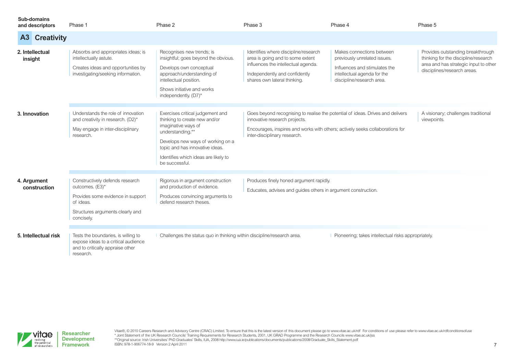|         | Sub-domains<br>and descriptors | Phase 1                                                                                                                                                | Phase 2                                                                                                                                                                                                                                        | Phase 3                                                                                                                                                                                                                          | Phase 4                                                                                                                                                | Phase 5                                                                                                                                           |
|---------|--------------------------------|--------------------------------------------------------------------------------------------------------------------------------------------------------|------------------------------------------------------------------------------------------------------------------------------------------------------------------------------------------------------------------------------------------------|----------------------------------------------------------------------------------------------------------------------------------------------------------------------------------------------------------------------------------|--------------------------------------------------------------------------------------------------------------------------------------------------------|---------------------------------------------------------------------------------------------------------------------------------------------------|
| A3      | <b>Creativity</b>              |                                                                                                                                                        |                                                                                                                                                                                                                                                |                                                                                                                                                                                                                                  |                                                                                                                                                        |                                                                                                                                                   |
| insight | 2. Intellectual                | Absorbs and appropriates ideas; is<br>intellectually astute.<br>Creates ideas and opportunities by<br>investigating/seeking information.               | Recognises new trends; is<br>insightful; goes beyond the obvious.<br>Develops own conceptual<br>approach/understanding of<br>intellectual position.<br>Shows initiative and works<br>independently. (D7)*                                      | Identifies where discipline/research<br>area is going and to some extent<br>influences the intellectual agenda.<br>Independently and confidently<br>shares own lateral thinking.                                                 | Makes connections between<br>previously unrelated issues.<br>Influences and stimulates the<br>intellectual agenda for the<br>discipline/research area. | Provides outstanding breakthrough<br>thinking for the discipline/research<br>area and has strategic input to other<br>disciplines/research areas. |
|         | 3. Innovation                  | Understands the role of innovation<br>and creativity in research. (D2)*<br>May engage in inter-disciplinary<br>research.                               | Exercises critical judgement and<br>thinking to create new and/or<br>imaginative ways of<br>understanding.**<br>Develops new ways of working on a<br>topic and has innovative ideas.<br>Identifies which ideas are likely to<br>be successful. | Goes beyond recognising to realise the potential of ideas. Drives and delivers<br>innovative research projects.<br>Encourages, inspires and works with others; actively seeks collaborations for<br>inter-disciplinary research. |                                                                                                                                                        | A visionary; challenges traditional<br>viewpoints.                                                                                                |
|         | 4. Argument<br>construction    | Constructively defends research<br>outcomes. (E3)*<br>Provides some evidence in support<br>of ideas.<br>Structures arguments clearly and<br>concisely. | Rigorous in argument construction<br>and production of evidence.<br>Produces convincing arguments to<br>defend research theses.                                                                                                                | Produces finely honed argument rapidly.<br>Educates, advises and guides others in argument construction.                                                                                                                         |                                                                                                                                                        |                                                                                                                                                   |
|         | 5. Intellectual risk           | Tests the boundaries, is willing to<br>expose ideas to a critical audience<br>and to critically appraise other<br>research.                            | Challenges the status quo in thinking within discipline/research area.                                                                                                                                                                         |                                                                                                                                                                                                                                  | Pioneering; takes intellectual risks appropriately.                                                                                                    |                                                                                                                                                   |

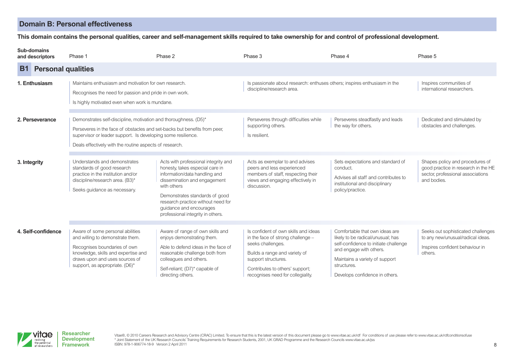# **Domain B: Personal effectiveness**

#### This domain contains the personal qualities, career and self-management skills required to take ownership for and control of professional development.

| Sub-domains<br>and descriptors         | Phase 1                                                                                                                                                                                                                                                                  | Phase 2                                                                                                                                                                                                                                                                                         | Phase 3                                                                                                                                                                                                                        | Phase 4                                                                                                                                                                                                                    | Phase 5                                                                                                                    |
|----------------------------------------|--------------------------------------------------------------------------------------------------------------------------------------------------------------------------------------------------------------------------------------------------------------------------|-------------------------------------------------------------------------------------------------------------------------------------------------------------------------------------------------------------------------------------------------------------------------------------------------|--------------------------------------------------------------------------------------------------------------------------------------------------------------------------------------------------------------------------------|----------------------------------------------------------------------------------------------------------------------------------------------------------------------------------------------------------------------------|----------------------------------------------------------------------------------------------------------------------------|
| <b>B1</b><br><b>Personal qualities</b> |                                                                                                                                                                                                                                                                          |                                                                                                                                                                                                                                                                                                 |                                                                                                                                                                                                                                |                                                                                                                                                                                                                            |                                                                                                                            |
| 1. Enthusiasm                          | Maintains enthusiasm and motivation for own research.<br>Recognises the need for passion and pride in own work.<br>Is highly motivated even when work is mundane.                                                                                                        |                                                                                                                                                                                                                                                                                                 | Is passionate about research: enthuses others; inspires enthusiasm in the<br>discipline/research area.                                                                                                                         |                                                                                                                                                                                                                            | Inspires communities of<br>international researchers.                                                                      |
| 2. Perseverance                        | Demonstrates self-discipline, motivation and thoroughness. (D5)*<br>Perseveres in the face of obstacles and set-backs but benefits from peer,<br>supervisor or leader support. Is developing some resilience.<br>Deals effectively with the routine aspects of research. |                                                                                                                                                                                                                                                                                                 | Perseveres through difficulties while<br>supporting others.<br>Is resilient.                                                                                                                                                   | Perseveres steadfastly and leads<br>the way for others.                                                                                                                                                                    | Dedicated and stimulated by<br>obstacles and challenges.                                                                   |
| 3. Integrity                           | Understands and demonstrates<br>standards of good research<br>practice in the institution and/or<br>discipline/research area. (B3)*<br>Seeks guidance as necessary.                                                                                                      | Acts with professional integrity and<br>honesty, takes especial care in<br>information/data handling and<br>dissemination and engagement<br>with others<br>Demonstrates standards of good<br>research practice without need for<br>guidance and encourages<br>professional integrity in others. | Acts as exemplar to and advises<br>peers and less experienced<br>members of staff, respecting their<br>views and engaging effectively in<br>discussion.                                                                        | Sets expectations and standard of<br>conduct.<br>Advises all staff and contributes to<br>institutional and disciplinary<br>policy/practice.                                                                                | Shapes policy and procedures of<br>good practice in research in the HE<br>sector, professional associations<br>and bodies. |
| 4. Self-confidence                     | Aware of some personal abilities<br>and willing to demonstrate them.<br>Recognises boundaries of own<br>knowledge, skills and expertise and<br>draws upon and uses sources of<br>support, as appropriate. (D6)*                                                          | Aware of range of own skills and<br>enjoys demonstrating them.<br>Able to defend ideas in the face of<br>reasonable challenge both from<br>colleagues and others.<br>Self-reliant; (D7)* capable of<br>directing others.                                                                        | Is confident of own skills and ideas<br>in the face of strong challenge -<br>seeks challenges.<br>Builds a range and variety of<br>support structures.<br>Contributes to others' support;<br>recognises need for collegiality. | Comfortable that own ideas are<br>likely to be radical/unusual; has<br>self-confidence to initiate challenge<br>and engage with others.<br>Maintains a variety of support<br>structures.<br>Develops confidence in others. | Seeks out sophisticated challenges<br>to any new/unusual/radical ideas.<br>Inspires confident behaviour in<br>others.      |



Vitae®, @ 2010 Careers Research and Advisory Centre (CRAC) Limited. To ensure that this is the latest version of this document please go to [www.vitae.ac.uk/rdf](http://www.vitae.ac.uk/rdf) For conditions of use please refer to www.vitae.ac.uk/rdfcondi \* Joint Statement of the UK Research Councils' Training Requirements for Research Students, 2001, UK GRAD Programme and the Research Councils [www.vitae.ac.uk/jss](http://www.vitae.ac.uk/jss) ISBN: 978-1-906774-18-9 Version 2 April 2011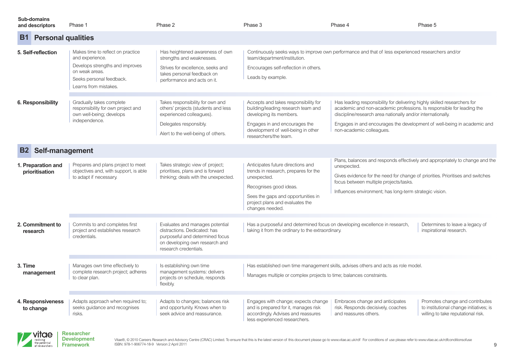| <b>Sub-domains</b><br>and descriptors | Phase 1                                                                                                                                                        | Phase 2                                                                                                                                                             | Phase 3                                                                                                                                                                                                        | Phase 4                                                                                                                                                                                                                                      | Phase 5                                                                                                          |  |  |
|---------------------------------------|----------------------------------------------------------------------------------------------------------------------------------------------------------------|---------------------------------------------------------------------------------------------------------------------------------------------------------------------|----------------------------------------------------------------------------------------------------------------------------------------------------------------------------------------------------------------|----------------------------------------------------------------------------------------------------------------------------------------------------------------------------------------------------------------------------------------------|------------------------------------------------------------------------------------------------------------------|--|--|
| <b>B1</b>                             | <b>Personal qualities</b>                                                                                                                                      |                                                                                                                                                                     |                                                                                                                                                                                                                |                                                                                                                                                                                                                                              |                                                                                                                  |  |  |
| 5. Self-reflection                    | Makes time to reflect on practice<br>and experience.<br>Develops strengths and improves<br>on weak areas.<br>Seeks personal feedback.<br>Learns from mistakes. | Has heightened awareness of own<br>strengths and weaknesses.<br>Strives for excellence, seeks and<br>takes personal feedback on<br>performance and acts on it.      | team/department/institution.<br>Encourages self-reflection in others.<br>Leads by example.                                                                                                                     | Continuously seeks ways to improve own performance and that of less experienced researchers and/or                                                                                                                                           |                                                                                                                  |  |  |
| 6. Responsibility                     | Gradually takes complete<br>responsibility for own project and<br>own well-being; develops<br>independence.                                                    | Takes responsibility for own and<br>others' projects (students and less<br>experienced colleagues).<br>Delegates responsibly.<br>Alert to the well-being of others. | Accepts and takes responsibility for<br>building/leading research team and<br>developing its members.<br>Engages in and encourages the<br>development of well-being in other<br>researchers/the team.          | Has leading responsibility for delivering highly skilled researchers for<br>academic and non-academic professions. Is responsible for leading the<br>discipline/research area nationally and/or internationally.<br>non-academic colleagues. | Engages in and encourages the development of well-being in academic and                                          |  |  |
| <b>B2</b> Self-management             |                                                                                                                                                                |                                                                                                                                                                     |                                                                                                                                                                                                                |                                                                                                                                                                                                                                              |                                                                                                                  |  |  |
| 1. Preparation and<br>prioritisation  | Prepares and plans project to meet<br>objectives and, with support, is able<br>to adapt if necessary.                                                          | Takes strategic view of project;<br>prioritises, plans and is forward<br>thinking; deals with the unexpected.                                                       | Anticipates future directions and<br>trends in research, prepares for the<br>unexpected.<br>Recognises good ideas.<br>Sees the gaps and opportunities in<br>project plans and evaluates the<br>changes needed. | unexpected.<br>Gives evidence for the need for change of priorities. Prioritises and switches<br>focus between multiple projects/tasks.<br>Influences environment; has long-term strategic vision.                                           | Plans, balances and responds effectively and appropriately to change and the                                     |  |  |
| 2. Commitment to<br>research          | Commits to and completes first<br>project and establishes research<br>credentials.                                                                             | Evaluates and manages potential<br>distractions. Dedicated: has<br>purposeful and determined focus<br>on developing own research and<br>research credentials.       | Has a purposeful and determined focus on developing excellence in research,<br>taking it from the ordinary to the extraordinary.                                                                               |                                                                                                                                                                                                                                              | Determines to leave a legacy of<br>inspirational research.                                                       |  |  |
| 3. Time<br>management                 | Manages own time effectively to<br>complete research project; adheres<br>to clear plan.                                                                        | Is establishing own time<br>management systems: delivers<br>projects on schedule, responds<br>flexibly.                                                             | Has established own time management skills, advises others and acts as role model.<br>Manages multiple or complex projects to time; balances constraints.                                                      |                                                                                                                                                                                                                                              |                                                                                                                  |  |  |
| 4. Responsiveness<br>to change        | Adapts approach when required to;<br>seeks quidance and recognises<br>risks.                                                                                   | Adapts to changes; balances risk<br>and opportunity. Knows when to<br>seek advice and reassurance.                                                                  | Engages with change; expects change<br>and is prepared for it, manages risk<br>accordingly. Advises and reassures<br>less experienced researchers.                                                             | Embraces change and anticipates<br>risk. Responds decisively, coaches<br>and reassures others.                                                                                                                                               | Promotes change and contributes<br>to institutional change initiatives; is<br>willing to take reputational risk. |  |  |

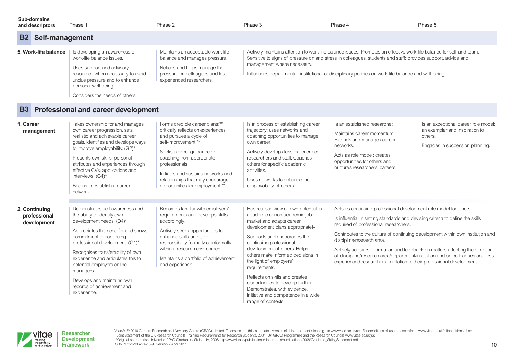| Sub-domains<br>and descriptors                          | Phase 1                                                                                                                                                                                                                 | Phase 2                                                                                                                                                           | Phase 3                     | Phase 4                                                                                                                                                                                                                                                                                                                                      | Phase 5 |  |  |
|---------------------------------------------------------|-------------------------------------------------------------------------------------------------------------------------------------------------------------------------------------------------------------------------|-------------------------------------------------------------------------------------------------------------------------------------------------------------------|-----------------------------|----------------------------------------------------------------------------------------------------------------------------------------------------------------------------------------------------------------------------------------------------------------------------------------------------------------------------------------------|---------|--|--|
| <b>B2</b> Self-management                               |                                                                                                                                                                                                                         |                                                                                                                                                                   |                             |                                                                                                                                                                                                                                                                                                                                              |         |  |  |
| 5. Work-life balance                                    | Is developing an awareness of<br>work-life balance issues.<br>Uses support and advisory<br>resources when necessary to avoid<br>undue pressure and to enhance<br>personal well-being.<br>Considers the needs of others. | Maintains an acceptable work-life<br>balance and manages pressure.<br>Notices and helps manage the<br>pressure on colleagues and less<br>experienced researchers. | management where necessary. | Actively maintains attention to work-life balance issues. Promotes an effective work-life balance for self and team.<br>Sensitive to signs of pressure on and stress in colleagues, students and staff; provides support, advice and<br>Influences departmental, institutional or disciplinary policies on work-life balance and well-being. |         |  |  |
| <b>B3</b><br><b>Professional and career development</b> |                                                                                                                                                                                                                         |                                                                                                                                                                   |                             |                                                                                                                                                                                                                                                                                                                                              |         |  |  |

| 1. Career<br>management                      | Takes ownership for and manages<br>own career progression, sets<br>realistic and achievable career<br>goals, identifies and develops ways<br>to improve employability. (G2)*<br>Presents own skills, personal<br>attributes and experiences through<br>effective CVs, applications and<br>interviews. (G4)*<br>Begins to establish a career<br>network.                                           | Forms credible career plans;**<br>critically reflects on experiences<br>and pursues a cycle of<br>self-improvement.**<br>Seeks advice, guidance or<br>coaching from appropriate<br>professionals<br>Initiates and sustains networks and<br>relationships that may encourage<br>opportunities for employment.** | Is in process of establishing career<br>trajectory; uses networks and<br>coaching opportunities to manage<br>own career.<br>Actively develops less experienced<br>researchers and staff. Coaches<br>others for specific academic<br>activities.<br>Uses networks to enhance the<br>employability of others.                                                                                                                                                                           | Is an established researcher.<br>Maintains career momentum.<br>Extends and manages career<br>networks.<br>Acts as role model; creates<br>opportunities for others and<br>nurtures researchers' careers.                                                                                                                                                                                                                                                                                                                                                   | Is an exceptional career role model:<br>an exemplar and inspiration to<br>others.<br>Engages in succession planning. |
|----------------------------------------------|---------------------------------------------------------------------------------------------------------------------------------------------------------------------------------------------------------------------------------------------------------------------------------------------------------------------------------------------------------------------------------------------------|----------------------------------------------------------------------------------------------------------------------------------------------------------------------------------------------------------------------------------------------------------------------------------------------------------------|---------------------------------------------------------------------------------------------------------------------------------------------------------------------------------------------------------------------------------------------------------------------------------------------------------------------------------------------------------------------------------------------------------------------------------------------------------------------------------------|-----------------------------------------------------------------------------------------------------------------------------------------------------------------------------------------------------------------------------------------------------------------------------------------------------------------------------------------------------------------------------------------------------------------------------------------------------------------------------------------------------------------------------------------------------------|----------------------------------------------------------------------------------------------------------------------|
| 2. Continuing<br>professional<br>development | Demonstrates self-awareness and<br>the ability to identify own<br>development needs. (D4)*<br>Appreciates the need for and shows<br>commitment to continuing<br>professional development. (G1)*<br>Recognises transferability of own<br>experience and articulates this to<br>potential employers or line<br>managers.<br>Develops and maintains own<br>records of achievement and<br>experience. | Becomes familiar with employers'<br>requirements and develops skills<br>accordingly.<br>Actively seeks opportunities to<br>enhance skills and take<br>responsibility, formally or informally,<br>within a research environment.<br>Maintains a portfolio of achievement<br>and experience.                     | Has realistic view of own potential in<br>academic or non-academic job<br>market and adapts career<br>development plans appropriately.<br>Supports and encourages the<br>continuing professional<br>development of others. Helps<br>others make informed decisions in<br>the light of employers'<br>requirements.<br>Reflects on skills and creates<br>opportunities to develop further.<br>Demonstrates, with evidence,<br>initiative and competence in a wide<br>range of contexts. | Acts as continuing professional development role model for others.<br>Is influential in setting standards and devising criteria to define the skills<br>required of professional researchers.<br>Contributes to the culture of continuing development within own institution and<br>discipline/research area.<br>Actively acquires information and feedback on matters affecting the direction<br>of discipline/research area/department/institution and on colleagues and less<br>experienced researchers in relation to their professional development. |                                                                                                                      |

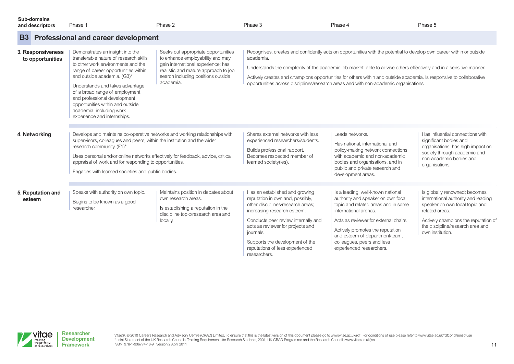| Sub-domains<br>and descriptors        | Phase 1                                                                                                                                                                                                                                                                                                                                                                                     | Phase 2                                                                                                                                                                                                  | Phase 3                                                                                                                                                                                                                                                                                                               | Phase 4                                                                                                                                                                                                                                                                                                                                                                                                                                                    | Phase 5                                                                                                                                                                                                                  |
|---------------------------------------|---------------------------------------------------------------------------------------------------------------------------------------------------------------------------------------------------------------------------------------------------------------------------------------------------------------------------------------------------------------------------------------------|----------------------------------------------------------------------------------------------------------------------------------------------------------------------------------------------------------|-----------------------------------------------------------------------------------------------------------------------------------------------------------------------------------------------------------------------------------------------------------------------------------------------------------------------|------------------------------------------------------------------------------------------------------------------------------------------------------------------------------------------------------------------------------------------------------------------------------------------------------------------------------------------------------------------------------------------------------------------------------------------------------------|--------------------------------------------------------------------------------------------------------------------------------------------------------------------------------------------------------------------------|
| <b>B3</b>                             | <b>Professional and career development</b>                                                                                                                                                                                                                                                                                                                                                  |                                                                                                                                                                                                          |                                                                                                                                                                                                                                                                                                                       |                                                                                                                                                                                                                                                                                                                                                                                                                                                            |                                                                                                                                                                                                                          |
| 3. Responsiveness<br>to opportunities | Demonstrates an insight into the<br>transferable nature of research skills<br>to other work environments and the<br>range of career opportunities within<br>and outside academia. (G3)*<br>Understands and takes advantage<br>of a broad range of employment<br>and professional development<br>opportunities within and outside<br>academia, including work<br>experience and internships. | Seeks out appropriate opportunities<br>to enhance employability and may<br>gain international experience; has<br>realistic and mature approach to job<br>search including positions outside<br>academia. | academia.                                                                                                                                                                                                                                                                                                             | Recognises, creates and confidently acts on opportunities with the potential to develop own career within or outside<br>Understands the complexity of the academic job market; able to advise others effectively and in a sensitive manner.<br>Actively creates and champions opportunities for others within and outside academia. Is responsive to collaborative<br>opportunities across disciplines/research areas and with non-academic organisations. |                                                                                                                                                                                                                          |
| 4. Networking                         | Develops and maintains co-operative networks and working relationships with<br>supervisors, colleagues and peers, within the institution and the wider<br>research community. (F1)*<br>Uses personal and/or online networks effectively for feedback, advice, critical<br>appraisal of work and for responding to opportunities.<br>Engages with learned societies and public bodies.       |                                                                                                                                                                                                          | Shares external networks with less<br>experienced researchers/students.<br>Builds professional rapport.<br>Becomes respected member of<br>learned society(ies).                                                                                                                                                       | Leads networks.<br>Has national, international and<br>policy-making network connections<br>with academic and non-academic<br>bodies and organisations, and in<br>public and private research and<br>development areas.                                                                                                                                                                                                                                     | Has influential connections with<br>significant bodies and<br>organisations; has high impact on<br>society through academic and<br>non-academic bodies and<br>organisations.                                             |
| 5. Reputation and<br>esteem           | Speaks with authority on own topic.<br>Begins to be known as a good<br>researcher.                                                                                                                                                                                                                                                                                                          | Maintains position in debates about<br>own research areas.<br>Is establishing a reputation in the<br>discipline topic/research area and<br>locally.                                                      | Has an established and growing<br>reputation in own and, possibly,<br>other disciplines/research areas;<br>increasing research esteem.<br>Conducts peer review internally and<br>acts as reviewer for projects and<br>journals.<br>Supports the development of the<br>reputations of less experienced<br>researchers. | Is a leading, well-known national<br>authority and speaker on own focal<br>topic and related areas and in some<br>international arenas.<br>Acts as reviewer for external chairs.<br>Actively promotes the reputation<br>and esteem of department/team,<br>colleagues, peers and less<br>experienced researchers.                                                                                                                                           | Is globally renowned; becomes<br>international authority and leading<br>speaker on own focal topic and<br>related areas.<br>Actively champions the reputation of<br>the discipline/research area and<br>own institution. |



Vitae®, © 2010 Careers Research and Advisory Centre (CRAC) Limited. To ensure that this is the latest version of this document please go to [www.vitae.ac.uk/rdf](http://www.vitae.ac.uk/rdf) For conditions of use please refer to www.vitae.ac.uk/rdfcondi ISBN: 978-1-906774-18-9 Version 2 April 2011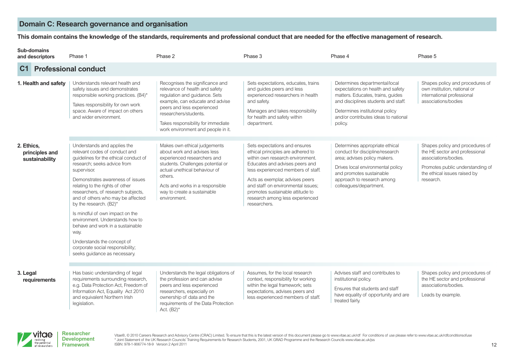## **Domain C: Research governance and organisation**

#### This domain contains the knowledge of the standards, requirements and professional conduct that are needed for the effective management of research.

|                | <b>Sub-domains</b><br>and descriptors | Phase 1                                                                                                                                                                                                                                                                                                                                                                                                                                                                                                                                             | Phase 2                                                                                                                                                                                                                                                                  | Phase 3                                                                                                                                                                                                                                                                                                                                        | Phase 4                                                                                                                                                                                                                              | Phase 5                                                                                                                                                                    |
|----------------|---------------------------------------|-----------------------------------------------------------------------------------------------------------------------------------------------------------------------------------------------------------------------------------------------------------------------------------------------------------------------------------------------------------------------------------------------------------------------------------------------------------------------------------------------------------------------------------------------------|--------------------------------------------------------------------------------------------------------------------------------------------------------------------------------------------------------------------------------------------------------------------------|------------------------------------------------------------------------------------------------------------------------------------------------------------------------------------------------------------------------------------------------------------------------------------------------------------------------------------------------|--------------------------------------------------------------------------------------------------------------------------------------------------------------------------------------------------------------------------------------|----------------------------------------------------------------------------------------------------------------------------------------------------------------------------|
| C <sub>1</sub> |                                       | <b>Professional conduct</b>                                                                                                                                                                                                                                                                                                                                                                                                                                                                                                                         |                                                                                                                                                                                                                                                                          |                                                                                                                                                                                                                                                                                                                                                |                                                                                                                                                                                                                                      |                                                                                                                                                                            |
|                | 1. Health and safety                  | Understands relevant health and<br>safety issues and demonstrates<br>responsible working practices. (B4)*<br>Takes responsibility for own work<br>space. Aware of impact on others<br>and wider environment.                                                                                                                                                                                                                                                                                                                                        | Recognises the significance and<br>relevance of health and safety<br>regulation and guidance. Sets<br>example, can educate and advise<br>peers and less experienced<br>researchers/students.<br>Takes responsibility for immediate<br>work environment and people in it. | Sets expectations, educates, trains<br>and quides peers and less<br>experienced researchers in health<br>and safety.<br>Manages and takes responsibility<br>for health and safety within<br>department.                                                                                                                                        | Determines departmental/local<br>expectations on health and safety<br>matters. Educates, trains, guides<br>and disciplines students and staff.<br>Determines institutional policy<br>and/or contributes ideas to national<br>policy. | Shapes policy and procedures of<br>own institution, national or<br>international professional<br>associations/bodies                                                       |
| 2. Ethics,     | principles and<br>sustainability      | Understands and applies the<br>relevant codes of conduct and<br>quidelines for the ethical conduct of<br>research; seeks advice from<br>supervisor.<br>Demonstrates awareness of issues<br>relating to the rights of other<br>researchers, of research subjects,<br>and of others who may be affected<br>by the research. (B2)*<br>Is mindful of own impact on the<br>environment. Understands how to<br>behave and work in a sustainable<br>way.<br>Understands the concept of<br>corporate social responsibility;<br>seeks guidance as necessary. | Makes own ethical judgements<br>about work and advises less<br>experienced researchers and<br>students. Challenges potential or<br>actual unethical behaviour of<br>others.<br>Acts and works in a responsible<br>way to create a sustainable<br>environment.            | Sets expectations and ensures<br>ethical principles are adhered to<br>within own research environment.<br>Educates and advises peers and<br>less experienced members of staff.<br>Acts as exemplar, advises peers<br>and staff on environmental issues:<br>promotes sustainable attitude to<br>research among less experienced<br>researchers. | Determines appropriate ethical<br>conduct for discipline/research<br>area; advises policy makers.<br>Drives local environmental policy<br>and promotes sustainable<br>approach to research among<br>colleagues/department.           | Shapes policy and procedures of<br>the HE sector and professional<br>associations/bodies.<br>Promotes public understanding of<br>the ethical issues raised by<br>research. |
| 3. Legal       | requirements                          | Has basic understanding of legal<br>requirements surrounding research,<br>e.g. Data Protection Act, Freedom of<br>Information Act, Equality Act 2010<br>and equivalent Northern Irish<br>legislation.                                                                                                                                                                                                                                                                                                                                               | Understands the legal obligations of<br>the profession and can advise<br>peers and less experienced<br>researchers, especially on<br>ownership of data and the<br>requirements of the Data Protection<br>Act. $(B2)^*$                                                   | Assumes, for the local research<br>context, responsibility for working<br>within the legal framework; sets<br>expectations, advises peers and<br>less experienced members of staff.                                                                                                                                                            | Advises staff and contributes to<br>institutional policy.<br>Ensures that students and staff<br>have equality of opportunity and are<br>treated fairly.                                                                              | Shapes policy and procedures of<br>the HE sector and professional<br>associations/bodies.<br>Leads by example.                                                             |

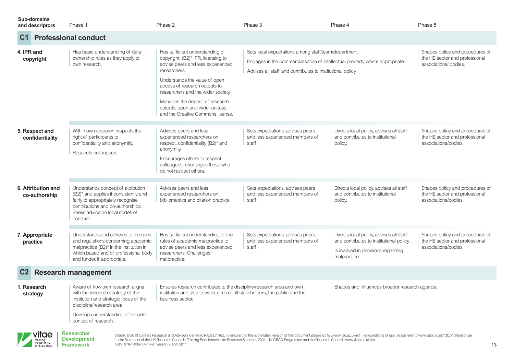| <b>Sub-domains</b><br>and descriptors | Phase 1                                                                                                                                                                                             | Phase 2                                                                                                                                                                                                                                                                                                                                       | Phase 3                                                                                                                                                                                                                        | Phase 4                                                                                                                                   | Phase 5                                                                                    |
|---------------------------------------|-----------------------------------------------------------------------------------------------------------------------------------------------------------------------------------------------------|-----------------------------------------------------------------------------------------------------------------------------------------------------------------------------------------------------------------------------------------------------------------------------------------------------------------------------------------------|--------------------------------------------------------------------------------------------------------------------------------------------------------------------------------------------------------------------------------|-------------------------------------------------------------------------------------------------------------------------------------------|--------------------------------------------------------------------------------------------|
| C <sub>1</sub>                        | <b>Professional conduct</b>                                                                                                                                                                         |                                                                                                                                                                                                                                                                                                                                               |                                                                                                                                                                                                                                |                                                                                                                                           |                                                                                            |
| 4. IPR and<br>copyright               | Has basic understanding of data<br>ownership rules as they apply to<br>own research.                                                                                                                | Has sufficient understanding of<br>copyright, (B2)* IPR, licensing to<br>advise peers and less experienced<br>researchers.<br>Understands the value of open<br>access of research outputs to<br>researchers and the wider society.<br>Manages the deposit of research<br>outputs, open and wider access,<br>and the Creative Commons lisense. | Sets local expectations among staff/team/department.<br>Engages in the commercialisation of intellectual property where appropriate.<br>Advises all staff and contributes to institutional policy.                             |                                                                                                                                           | Shapes policy and procedures of<br>the HE sector and professional<br>associations/ bodies. |
| 5. Respect and<br>confidentiality     | Within own research respects the<br>right of participants to<br>confidentiality and anonymity.<br>Respects colleagues.                                                                              | Advises peers and less<br>experienced researchers on<br>respect, confidentiality (B2)* and<br>anonymity.<br>Encourages others to respect<br>colleagues; challenges those who<br>do not respect others.                                                                                                                                        | Sets expectations, advises peers<br>and less experienced members of<br>staff.                                                                                                                                                  | Directs local policy, advises all staff<br>and contributes to institutional<br>policy.                                                    | Shapes policy and procedures of<br>the HE sector and professional<br>associations/bodies.  |
| 6. Attribution and<br>co-authorship   | Understands concept of attribution<br>(B2)* and applies it consistently and<br>fairly to appropriately recognise<br>contributions and co-authorships.<br>Seeks advice on local codes of<br>conduct. | Advises peers and less<br>experienced researchers on<br>bibliometrics and citation practice.                                                                                                                                                                                                                                                  | Sets expectations, advises peers<br>and less experienced members of<br>staff.                                                                                                                                                  | Directs local policy, advises all staff<br>and contributes to institutional<br>policy.                                                    | Shapes policy and procedures of<br>the HE sector and professional<br>associations/bodies.  |
| 7. Appropriate<br>practice            | Understands and adheres to the rules<br>and regulations concerning academic<br>malpractice (B2)* in the institution in<br>which based and of professional body<br>and funder, if appropriate.       | Has sufficient understanding of the<br>rules of academic malpractice to<br>advise peers and less experienced<br>researchers. Challenges<br>malpractice.                                                                                                                                                                                       | Sets expectations, advises peers<br>and less experienced members of<br>staff.                                                                                                                                                  | Directs local policy, advises all staff<br>and contributes to institutional policy.<br>Is involved in decisions regarding<br>malpractice. | Shapes policy and procedures of<br>the HE sector and professional<br>associations/bodies.  |
| C2 Research management                |                                                                                                                                                                                                     |                                                                                                                                                                                                                                                                                                                                               |                                                                                                                                                                                                                                |                                                                                                                                           |                                                                                            |
| 1. Research<br>strategy               | Aware of how own research aligns<br>with the research strategy of the<br>institution and strategic focus of the<br>discipline/research area.                                                        | Ensures research contributes to the discipline/research area and own<br>institution and also to wider aims of all stakeholders, the public and the<br>business sector.                                                                                                                                                                        |                                                                                                                                                                                                                                | I Shapes and influences broader research agenda.                                                                                          |                                                                                            |
|                                       | Develops understanding of broader<br>context of research.                                                                                                                                           |                                                                                                                                                                                                                                                                                                                                               |                                                                                                                                                                                                                                |                                                                                                                                           |                                                                                            |
| vitae                                 | <b>Researcher</b>                                                                                                                                                                                   |                                                                                                                                                                                                                                                                                                                                               | Vitae®, @ 2010 Careers Research and Advisory Centre (CRAC) Limited. To ensure that this is the latest version of this document please go to www.vitae.ac.uk/rdf For conditions of use please refer to www.vitae.ac.uk/rdfcondi |                                                                                                                                           |                                                                                            |

**Development Framework**

Vitae®, © 2010 Careers Research and Advisory Centre (CRAC) Limited. To ensure that this is the latest version of this document please go to [www.vitae.ac.uk/rdf](http://www.vitae.ac.uk/rdf) For conditions of use please refer to www.vitae.ac.uk/rdfcondi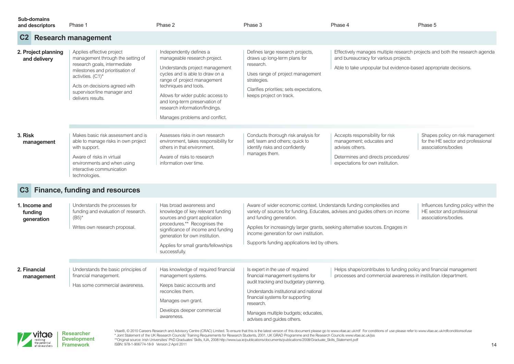| <b>Sub-domains</b><br>and descriptors  | Phase 1                                                                                                                                                                                                                                      | Phase 2                                                                                                                                                                                                                                                                                                                        | Phase 3                                                                                                                                                                                                                                                                        | Phase 4                                                                                                                                                                                  | Phase 5                                                                                       |
|----------------------------------------|----------------------------------------------------------------------------------------------------------------------------------------------------------------------------------------------------------------------------------------------|--------------------------------------------------------------------------------------------------------------------------------------------------------------------------------------------------------------------------------------------------------------------------------------------------------------------------------|--------------------------------------------------------------------------------------------------------------------------------------------------------------------------------------------------------------------------------------------------------------------------------|------------------------------------------------------------------------------------------------------------------------------------------------------------------------------------------|-----------------------------------------------------------------------------------------------|
| C2                                     | <b>Research management</b>                                                                                                                                                                                                                   |                                                                                                                                                                                                                                                                                                                                |                                                                                                                                                                                                                                                                                |                                                                                                                                                                                          |                                                                                               |
| 2. Project planning<br>and delivery    | Applies effective project<br>management through the setting of<br>research goals, intermediate<br>milestones and prioritisation of<br>activities. (C1)*<br>Acts on decisions agreed with<br>supervisor/line manager and<br>delivers results. | Independently defines a<br>manageable research project.<br>Understands project management<br>cycles and is able to draw on a<br>range of project management<br>techniques and tools.<br>Allows for wider public access to<br>and long-term preservation of<br>research information/findings.<br>Manages problems and conflict. | Defines large research projects,<br>draws up long-term plans for<br>research.<br>Uses range of project management<br>strategies.<br>Clarifies priorities; sets expectations,<br>keeps project on track.                                                                        | Effectively manages multiple research projects and both the research agenda<br>and bureaucracy for various projects.<br>Able to take unpopular but evidence-based appropriate decisions. |                                                                                               |
| 3. Risk<br>management                  | Makes basic risk assessment and is<br>able to manage risks in own project<br>with support.<br>Aware of risks in virtual<br>environments and when using<br>interactive communication<br>technologies.                                         | Assesses risks in own research<br>environment, takes responsibility for<br>others in that environment.<br>Aware of risks to research<br>information over time.                                                                                                                                                                 | Conducts thorough risk analysis for<br>self, team and others; quick to<br>identify risks and confidently<br>manages them.                                                                                                                                                      | Accepts responsibility for risk<br>management; educates and<br>advises others.<br>Determines and directs procedures/<br>expectations for own institution.                                | Shapes policy on risk management<br>for the HE sector and professional<br>associations/bodies |
| C3                                     | <b>Finance, funding and resources</b>                                                                                                                                                                                                        |                                                                                                                                                                                                                                                                                                                                |                                                                                                                                                                                                                                                                                |                                                                                                                                                                                          |                                                                                               |
| 1. Income and<br>funding<br>generation | Understands the processes for<br>funding and evaluation of research.<br>$(B5)^*$<br>Writes own research proposal.                                                                                                                            | Has broad awareness and<br>knowledge of key relevant funding<br>sources and grant application<br>procedures.** Recognises the<br>significance of income and funding<br>generation for own institution.<br>Applies for small grants/fellowships<br>successfully.                                                                | Aware of wider economic context. Understands funding complexities and<br>and funding generation.<br>income generation for own institution.<br>Supports funding applications led by others.                                                                                     | variety of sources for funding. Educates, advises and guides others on income<br>Applies for increasingly larger grants, seeking alternative sources. Engages in                         | Influences funding policy within the<br>HE sector and professional<br>associations/bodies.    |
| 2. Financial<br>management             | Understands the basic principles of<br>financial management.<br>Has some commercial awareness.                                                                                                                                               | Has knowledge of required financial<br>management systems.<br>Keeps basic accounts and<br>reconciles them.<br>Manages own grant.<br>Develops deeper commercial<br>awareness.                                                                                                                                                   | Is expert in the use of required<br>financial management systems for<br>audit tracking and budgetary planning.<br>Understands institutional and national<br>financial systems for supporting<br>research.<br>Manages multiple budgets; educates,<br>advises and guides others. | Helps shape/contributes to funding policy and financial management<br>processes and commercial awareness in institution /department.                                                     |                                                                                               |

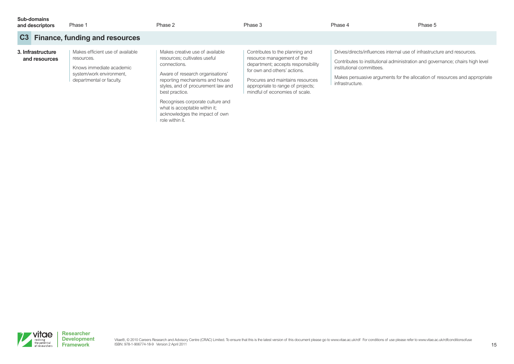| Sub-domains<br>and descriptors     | Phase 1                                                                                                                            | Phase 2                                                                                                                                                                                                                                                                            | Phase 3                                                                                                                                                                                                                                        | Phase 4                                                                                                                                                                                                                                                                                | Phase 5 |
|------------------------------------|------------------------------------------------------------------------------------------------------------------------------------|------------------------------------------------------------------------------------------------------------------------------------------------------------------------------------------------------------------------------------------------------------------------------------|------------------------------------------------------------------------------------------------------------------------------------------------------------------------------------------------------------------------------------------------|----------------------------------------------------------------------------------------------------------------------------------------------------------------------------------------------------------------------------------------------------------------------------------------|---------|
| C3                                 | <b>Finance, funding and resources</b>                                                                                              |                                                                                                                                                                                                                                                                                    |                                                                                                                                                                                                                                                |                                                                                                                                                                                                                                                                                        |         |
| 3. Infrastructure<br>and resources | Makes efficient use of available<br>resources.<br>Knows immediate academic<br>system/work environment,<br>departmental or faculty. | Makes creative use of available<br>resources; cultivates useful<br>connections.<br>Aware of research organisations'<br>reporting mechanisms and house<br>styles, and of procurement law and<br>best practice.<br>Recognises corporate culture and<br>what is acceptable within it; | Contributes to the planning and<br>resource management of the<br>department; accepts responsibility<br>for own and others' actions.<br>Procures and maintains resources<br>appropriate to range of projects;<br>mindful of economies of scale. | Drives/directs/influences internal use of infrastructure and resources.<br>Contributes to institutional administration and governance; chairs high level<br>institutional committees.<br>Makes persuasive arguments for the allocation of resources and appropriate<br>infrastructure. |         |

acknowledges the impact of own

role within it.

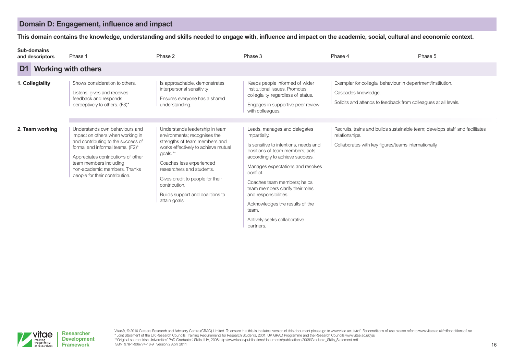# **Domain D: Engagement, influence and impact**

This domain contains the knowledge, understanding and skills needed to engage with, influence and impact on the academic, social, cultural and economic context.

| <b>Sub-domains</b><br>and descriptors |  | Phase 1                                                                                                                                                                                                                                                                        | Phase 2                                                                                                                                                                                                                                                                                                              | Phase 3                                                                                                                                                                                                                                                                                                                                                                                            | Phase 4                                                                                                                                                | Phase 5 |
|---------------------------------------|--|--------------------------------------------------------------------------------------------------------------------------------------------------------------------------------------------------------------------------------------------------------------------------------|----------------------------------------------------------------------------------------------------------------------------------------------------------------------------------------------------------------------------------------------------------------------------------------------------------------------|----------------------------------------------------------------------------------------------------------------------------------------------------------------------------------------------------------------------------------------------------------------------------------------------------------------------------------------------------------------------------------------------------|--------------------------------------------------------------------------------------------------------------------------------------------------------|---------|
| D <sub>1</sub>                        |  | <b>Working with others</b>                                                                                                                                                                                                                                                     |                                                                                                                                                                                                                                                                                                                      |                                                                                                                                                                                                                                                                                                                                                                                                    |                                                                                                                                                        |         |
| 1. Collegiality                       |  | Shows consideration to others.<br>Listens, gives and receives<br>feedback and responds<br>perceptively to others. (F3)*                                                                                                                                                        | Is approachable, demonstrates<br>interpersonal sensitivity.<br>Ensures everyone has a shared<br>understanding.                                                                                                                                                                                                       | Keeps people informed of wider<br>institutional issues. Promotes<br>collegiality, regardless of status.<br>Engages in supportive peer review<br>with colleagues.                                                                                                                                                                                                                                   | Exemplar for collegial behaviour in department/institution.<br>Cascades knowledge.<br>Solicits and attends to feedback from colleagues at all levels.  |         |
| 2. Team working                       |  | Understands own behaviours and<br>impact on others when working in<br>and contributing to the success of<br>formal and informal teams. (F2)*<br>Appreciates contributions of other<br>team members including<br>non-academic members. Thanks<br>people for their contribution. | Understands leadership in team<br>environments; recognises the<br>strengths of team members and<br>works effectively to achieve mutual<br>goals.**<br>Coaches less experienced<br>researchers and students.<br>Gives credit to people for their<br>contribution.<br>Builds support and coalitions to<br>attain goals | Leads, manages and delegates<br>impartially.<br>Is sensitive to intentions, needs and<br>positions of team members; acts<br>accordingly to achieve success.<br>Manages expectations and resolves<br>conflict.<br>Coaches team members; helps<br>team members clarify their roles<br>and responsibilities.<br>Acknowledges the results of the<br>team.<br>Actively seeks collaborative<br>partners. | Recruits, trains and builds sustainable team; develops staff and facilitates<br>relationships.<br>Collaborates with key figures/teams internationally. |         |

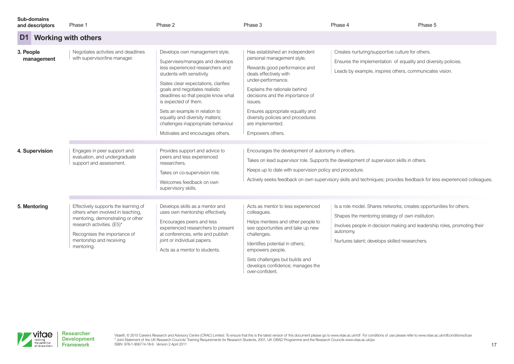| <b>Sub-domains</b><br>and descriptors | Phase 1                                                                                                                                                                                                                | Phase 2                                                                                                                                                                                                                                                                                                                                                                                                                     | Phase 3                                                                                                                                                                                                                                                                                                                                      | Phase 4                                                                                                                                                                                                                                                             | Phase 5 |
|---------------------------------------|------------------------------------------------------------------------------------------------------------------------------------------------------------------------------------------------------------------------|-----------------------------------------------------------------------------------------------------------------------------------------------------------------------------------------------------------------------------------------------------------------------------------------------------------------------------------------------------------------------------------------------------------------------------|----------------------------------------------------------------------------------------------------------------------------------------------------------------------------------------------------------------------------------------------------------------------------------------------------------------------------------------------|---------------------------------------------------------------------------------------------------------------------------------------------------------------------------------------------------------------------------------------------------------------------|---------|
| D1                                    | <b>Working with others</b>                                                                                                                                                                                             |                                                                                                                                                                                                                                                                                                                                                                                                                             |                                                                                                                                                                                                                                                                                                                                              |                                                                                                                                                                                                                                                                     |         |
| 3. People<br>management               | Negotiates activities and deadlines<br>with supervisor/line manager.                                                                                                                                                   | Develops own management style.<br>Supervises/manages and develops<br>less experienced researchers and<br>students with sensitivity.<br>States clear expectations, clarifies<br>goals and negotiates realistic<br>deadlines so that people know what<br>is expected of them.<br>Sets an example in relation to<br>equality and diversity matters;<br>challenges inappropriate behaviour.<br>Motivates and encourages others. | Has established an independent<br>personal management style.<br>Rewards good performance and<br>deals effectively with<br>under-performance.<br>Explains the rationale behind<br>decisions and the importance of<br>issues.<br>Ensures appropriate equality and<br>diversity policies and procedures<br>are implemented.<br>Empowers others. | Creates nurturing/supportive culture for others.<br>Ensures the implementation of equality and diversity policies.<br>Leads by example, inspires others, communicates vision.                                                                                       |         |
| 4. Supervision                        | Engages in peer support and<br>evaluation, and undergraduate<br>support and assessment.                                                                                                                                | Provides support and advice to<br>peers and less experienced<br>researchers.<br>Takes on co-supervision role.<br>Welcomes feedback on own<br>supervisory skills.                                                                                                                                                                                                                                                            | Encourages the development of autonomy in others.<br>Keeps up to date with supervision policy and procedure.                                                                                                                                                                                                                                 | Takes on lead supervisor role. Supports the development of supervision skills in others.<br>Actively seeks feedback on own supervisory skills and techniques; provides feedback for less experienced colleagues.                                                    |         |
| 5. Mentoring                          | Effectively supports the learning of<br>others when involved in teaching,<br>mentoring, demonstrating or other<br>research activities. (E5)*<br>Recognises the importance of<br>mentorship and receiving<br>mentoring. | Develops skills as a mentor and<br>uses own mentorship effectively.<br>Encourages peers and less<br>experienced researchers to present<br>at conferences, write and publish<br>joint or individual papers.<br>Acts as a mentor to students.                                                                                                                                                                                 | Acts as mentor to less experienced<br>colleagues.<br>Helps mentees and other people to<br>see opportunities and take up new<br>challenges.<br>Identifies potential in others;<br>empowers people.<br>Sets challenges but builds and<br>develops confidence; manages the                                                                      | Is a role model. Shares networks; creates opportunities for others.<br>Shapes the mentoring strategy of own institution.<br>Involves people in decision making and leadership roles, promoting their<br>autonomy.<br>Nurtures talent; develops skilled researchers. |         |

over-confident.



Vitae®, © 2010 Careers Research and Advisory Centre (CRAC) Limited. To ensure that this is the latest version of this document please go to [www.vitae.ac.uk/rdf](http://www.vitae.ac.uk/rdf) For conditions of use please refer to www.vitae.ac.uk/rdfcondi ISBN: 978-1-906774-18-9 Version 2 April 2011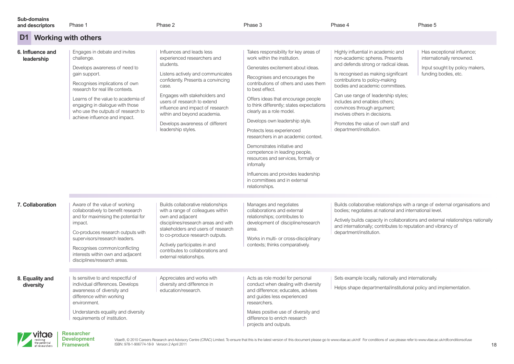|  | <b>Sub-domains</b> |  |
|--|--------------------|--|
|  |                    |  |
|  |                    |  |
|  |                    |  |
|  |                    |  |

| D1 Working with others         |                                                                                                                                                                                                                                                                                                                     |                                                                                                                                                                                                                                                                                                                                                       |                                                                                                                                                                                                                                                                                                                                                                                                                                                                                                                                                                                                                                           |                                                                                                                                                                                                                                                                                                                                                                                                                                   |                                                                                                                   |
|--------------------------------|---------------------------------------------------------------------------------------------------------------------------------------------------------------------------------------------------------------------------------------------------------------------------------------------------------------------|-------------------------------------------------------------------------------------------------------------------------------------------------------------------------------------------------------------------------------------------------------------------------------------------------------------------------------------------------------|-------------------------------------------------------------------------------------------------------------------------------------------------------------------------------------------------------------------------------------------------------------------------------------------------------------------------------------------------------------------------------------------------------------------------------------------------------------------------------------------------------------------------------------------------------------------------------------------------------------------------------------------|-----------------------------------------------------------------------------------------------------------------------------------------------------------------------------------------------------------------------------------------------------------------------------------------------------------------------------------------------------------------------------------------------------------------------------------|-------------------------------------------------------------------------------------------------------------------|
| 6. Influence and<br>leadership | Engages in debate and invites<br>challenge.<br>Develops awareness of need to<br>gain support.<br>Recognises implications of own<br>research for real life contexts.<br>Learns of the value to academia of<br>engaging in dialogue with those<br>who use the outputs of research to<br>achieve influence and impact. | Influences and leads less<br>experienced researchers and<br>students.<br>Listens actively and communicates<br>confidently. Presents a convincing<br>case.<br>Engages with stakeholders and<br>users of research to extend<br>influence and impact of research<br>within and beyond academia.<br>Develops awareness of different<br>leadership styles. | Takes responsibility for key areas of<br>work within the institution.<br>Generates excitement about ideas.<br>Recognises and encourages the<br>contributions of others and uses them<br>to best effect.<br>Offers ideas that encourage people<br>to think differently; states expectations<br>clearly as a role model.<br>Develops own leadership style.<br>Protects less experienced<br>researchers in an academic context.<br>Demonstrates initiative and<br>competence in leading people,<br>resources and services, formally or<br>infomally<br>Influences and provides leadership<br>in committees and in external<br>relationships. | Highly influential in academic and<br>non-academic spheres. Presents<br>and defends strong or radical ideas.<br>Is recognised as making significant<br>contributions to policy-making<br>bodies and academic committees.<br>Can use range of leadership styles;<br>includes and enables others:<br>convinces through argument;<br>involves others in decisions.<br>Promotes the value of own staff and<br>department/institution. | Has exceptional influence;<br>internationally renowned.<br>Input sought by policy makers,<br>funding bodies, etc. |
| 7. Collaboration               | Aware of the value of working<br>collaboratively to benefit research<br>and for maximising the potential for<br>impact.<br>Co-produces research outputs with<br>supervisors/research leaders.<br>Recognises common/conflicting<br>interests within own and adjacent<br>disciplines/research areas.                  | Builds collaborative relationships<br>with a range of colleagues within<br>own and adjacent<br>disciplines/research areas and with<br>stakeholders and users of research<br>to co-produce research outputs.<br>Actively participates in and<br>contributes to collaborations and<br>external relationships.                                           | Manages and negotiates<br>collaborations and external<br>relationships; contributes to<br>development of discipline/research<br>area.<br>Works in multi- or cross-disciplinary<br>contexts; thinks comparatively.                                                                                                                                                                                                                                                                                                                                                                                                                         | Builds collaborative relationships with a range of external organisations and<br>bodies; negotiates at national and international level.<br>Actively builds capacity in collaborations and external relationships nationally<br>and internationally; contributes to reputation and vibrancy of<br>department/institution.                                                                                                         |                                                                                                                   |
| 8. Equality and<br>diversity   | Is sensitive to and respectful of<br>individual differences. Develops<br>awareness of diversity and<br>difference within working<br>environment.<br>Understands equality and diversity<br>requirements of institution.                                                                                              | Appreciates and works with<br>diversity and difference in<br>education/research.                                                                                                                                                                                                                                                                      | Acts as role model for personal<br>conduct when dealing with diversity<br>and difference; educates, advises<br>and guides less experienced<br>researchers.<br>Makes positive use of diversity and<br>difference to enrich research<br>projects and outputs.                                                                                                                                                                                                                                                                                                                                                                               | Sets example locally, nationally and internationally.<br>Helps shape departmental/institutional policy and implementation.                                                                                                                                                                                                                                                                                                        |                                                                                                                   |

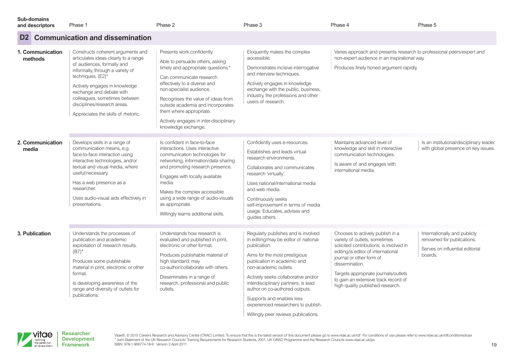**D2 Communication and dissemination Sub-domains and descriptors** Phase 1 Phase 2 Phase 2 Phase 2 Phase 3 Phase 3 Phase 4 Phase 4 Phase 5 Phase 5 Phase 5 Phase 5 Eloquently makes the complex accessible. Demonstrates incisive interrogative and interview techniques. Actively engages in knowledge exchange with the public, business, industry, the professions and other users of research. Varies approach and presents research to professional peers/expert and non-expert audience in an inspirational way. Produces finely honed argument rapidly. **1. Communication methods** Confidently uses e-resources. Establishes and leads virtual research environments. Collaborates and communicates research 'virtually'. Uses national/international media and web media. Continuously seeks self-improvement in terms of media usage. Educates, advises and guides others. Is confident in face-to-face interactions. Uses interactive communication technologies for networking, information/data sharing and promoting research presence. Engages with locally available media. Makes the complex accessible using a wide range of audio-visuals as appropriate. Willingly learns additional skills. Develops skills in a range of communication means, e.g. face-to-face interaction using interactive technologies, and/or textual and visual media, where useful/necessary. Has a web presence as a researcher. Uses audio-visual aids effectively in presentations. Maintains advanced level of knowledge and skill in interactive communication technologies. Is aware of and engages with international media. Is an institutional/disciplinary leader with global presence on key issues. **2. Communication media** Regularly publishes and is involved in editing/may be editor of national publication. Aims for the most prestigious publication in academic and non-academic outlets. Actively seeks collaborative and/or interdisciplinary partners; is lead author on co-authored outputs. Supports and enables less experienced researchers to publish. Understands how research is evaluated and published in print. electronic or other format. Produces publishable material of high standard; may co-author/collaborate with others. Disseminates in a range of research, professional and public outlets. Understands the processes of publication and academic exploitation of research results.  $(B7)^*$ Produces some publishable material in print, electronic or other format. Is developing awareness of the range and diversity of outlets for publications. Chooses to actively publish in a variety of outlets, sometimes solicited contributions; is involved in editing/is editor of international journal or other form of dissemination. Targets appropriate journals/outlets to gain an extensive track record of high quality published research. Internationally and publicly renowned for publications. Serves on influential editorial boards. **3. Publication** Constructs coherent arguments and articulates ideas clearly to a range of audiences, formally and informally, through a variety of techniques. (E2)\* Actively engages in knowledge exchange and debate with colleagues, sometimes between disciplines/research areas. Appreciates the skills of rhetoric. Presents work confidently. Able to persuade others, asking timely and appropriate questions.\* Can communicate research effectively to a diverse and non-specialist audience. Recognises the value of ideas from outside academia and incorporates them where appropriate. Actively engages in inter-disciplinary knowledge exchange.

Willingly peer reviews publications.



Vitae®, © 2010 Careers Research and Advisory Centre (CRAC) Limited. To ensure that this is the latest version of this document please go to [www.vitae.ac.uk/rdf](http://www.vitae.ac.uk/rdf) For conditions of use please refer to www.vitae.ac.uk/rdfcondi \* Joint Statement of the UK Research Councils' Training Requirements for Research Students, 2001, UK GRAD Programme and the Research Councils [www.vitae.ac.uk/jss](http://www.vitae.ac.uk/jss) ISBN: 978-1-906774-18-9 Version 2 April 2011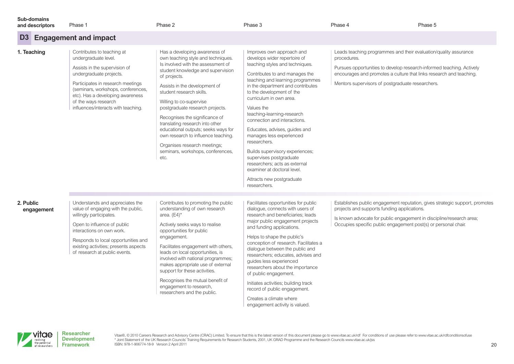| Sub-domains     |  |
|-----------------|--|
| and descriptors |  |

| and descriptors         | Phase 1                                                                                                                                                                                                                                                                                      | Phase 2                                                                                                                                                                                                                                                                                                                                                                                                                                                                                                                   | Phase 3                                                                                                                                                                                                                                                                                                                                                                                                                                                                                                                                                                                             | Phase 4                                                                                                                                                                                                                                                                             | Phase 5                                                                     |
|-------------------------|----------------------------------------------------------------------------------------------------------------------------------------------------------------------------------------------------------------------------------------------------------------------------------------------|---------------------------------------------------------------------------------------------------------------------------------------------------------------------------------------------------------------------------------------------------------------------------------------------------------------------------------------------------------------------------------------------------------------------------------------------------------------------------------------------------------------------------|-----------------------------------------------------------------------------------------------------------------------------------------------------------------------------------------------------------------------------------------------------------------------------------------------------------------------------------------------------------------------------------------------------------------------------------------------------------------------------------------------------------------------------------------------------------------------------------------------------|-------------------------------------------------------------------------------------------------------------------------------------------------------------------------------------------------------------------------------------------------------------------------------------|-----------------------------------------------------------------------------|
| D <sub>3</sub>          | <b>Engagement and impact</b>                                                                                                                                                                                                                                                                 |                                                                                                                                                                                                                                                                                                                                                                                                                                                                                                                           |                                                                                                                                                                                                                                                                                                                                                                                                                                                                                                                                                                                                     |                                                                                                                                                                                                                                                                                     |                                                                             |
| 1. Teaching             | Contributes to teaching at<br>undergraduate level.<br>Assists in the supervision of<br>undergraduate projects.<br>Participates in research meetings<br>(seminars, workshops, conferences,<br>etc). Has a developing awareness<br>of the ways research<br>influences/interacts with teaching. | Has a developing awareness of<br>own teaching style and techniques.<br>Is involved with the assessment of<br>student knowledge and supervision<br>of projects.<br>Assists in the development of<br>student research skills.<br>Willing to co-supervise<br>postgraduate research projects.<br>Recognises the significance of<br>translating research into other<br>educational outputs; seeks ways for<br>own research to influence teaching.<br>Organises research meetings;<br>seminars, workshops, conferences,<br>etc. | Improves own approach and<br>develops wider repertoire of<br>teaching styles and techniques.<br>Contributes to and manages the<br>teaching and learning programmes<br>in the department and contributes<br>to the development of the<br>curriculum in own area.<br>Values the<br>teaching-learning-research<br>connection and interactions.<br>Educates, advises, guides and<br>manages less experienced<br>researchers.<br>Builds supervisory experiences;<br>supervises postgraduate<br>researchers; acts as external<br>examiner at doctoral level.<br>Attracts new postgraduate<br>researchers. | Leads teaching programmes and their evaluation/quality assurance<br>procedures.<br>Pursues opportunities to develop research-informed teaching. Actively<br>encourages and promotes a culture that links research and teaching.<br>Mentors supervisors of postgraduate researchers. |                                                                             |
| 2. Public<br>engagement | Understands and appreciates the<br>value of engaging with the public,<br>willingly participates.<br>Open to influence of public<br>interactions on own work.<br>Responds to local opportunities and<br>existing activities; presents aspects<br>of research at public events.                | Contributes to promoting the public<br>understanding of own research<br>area. $(E4)^*$<br>Actively seeks ways to realise<br>opportunities for public<br>engagement.<br>Facilitates engagement with others,<br>leads on local opportunities, is<br>involved with national programmes;<br>makes appropriate use of external<br>support for these activities.<br>Recognises the mutual benefit of<br>engagement to research,<br>researchers and the public.                                                                  | Facilitates opportunities for public<br>dialogue, connects with users of<br>research and beneficiaries: leads<br>major public engagement projects<br>and funding applications.<br>Helps to shape the public's<br>conception of research. Facilitates a<br>dialogue between the public and<br>researchers; educates, advises and<br>guides less experienced<br>researchers about the importance<br>of public engagement.<br>Initiates activities; building track<br>record of public engagement.<br>Creates a climate where<br>engagement activity is valued.                                        | projects and supports funding applications.<br>Is known advocate for public engagement in discipline/research area;<br>Occupies specific public engagement post(s) or personal chair.                                                                                               | Establishes public engagement reputation, gives strategic support, promotes |



Vitae®, @ 2010 Careers Research and Advisory Centre (CRAC) Limited. To ensure that this is the latest version of this document please go to [www.vitae.ac.uk/rdf](http://www.vitae.ac.uk/rdf) For conditions of use please refer to www.vitae.ac.uk/rdfoondi \* Joint Statement of the UK Research Councils' Training Requirements for Research Students, 2001, UK GRAD Programme and the Research Councils [www.vitae.ac.uk/jss](http://www.vitae.ac.uk/jss) ISBN: 978-1-906774-18-9 Version 2 April 2011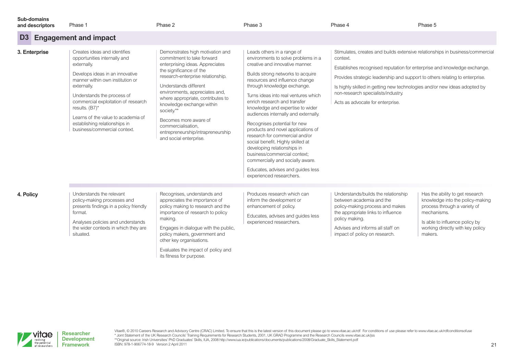|  | Sub-domains |
|--|-------------|
|  |             |
|  |             |
|  |             |

its fitness for purpose.

#### **D3 Engagement and impact and descriptors** Phase 1 Phase 2 Phase 2 Phase 2 Phase 3 Phase 3 Phase 4 Phase 4 Phase 5 Phase 5 Phase 5 Phase 5 Produces research which can inform the development or enhancement of policy. Educates, advises and guides less experienced researchers. Recognises, understands and appreciates the importance of policy making to research and the importance of research to policy making. Engages in dialogue with the public, policy makers, government and other key organisations. Evaluates the impact of policy and Understands the relevant policy-making processes and presents findings in a policy friendly format. Analyses policies and understands the wider contexts in which they are situated. Understands/builds the relationship between academia and the policy-making process and makes the appropriate links to influence policy making. Advises and informs all staff on impact of policy on research. Has the ability to get research knowledge into the policy-making process through a variety of mechanisms. Is able to influence policy by working directly with key policy makers. **4. Policy** Leads others in a range of environments to solve problems in a creative and innovative manner. Builds strong networks to acquire resources and influence change through knowledge exchange. Turns ideas into real ventures which enrich research and transfer knowledge and expertise to wider audiences internally and externally. Recognises potential for new products and novel applications of research for commercial and/or social benefit. Highly skilled at developing relationships in business/commercial context; commercially and socially aware. Educates, advises and guides less experienced researchers. Demonstrates high motivation and commitment to take forward enterprising ideas. Appreciates the significance of the research-enterprise relationship. Understands different environments, appreciates and, where appropriate, contributes to knowledge exchange within society.\*\* Becomes more aware of commercialisation, entrepreneurship/intrapreneurship and social enterprise. Creates ideas and identifies opportunities internally and externally. Develops ideas in an innovative manner within own institution or externally. Understands the process of commercial exploitation of research results. (B7)\* Learns of the value to academia of establishing relationships in business/commercial context. Stimulates, creates and builds extensive relationships in business/commercial context. Establishes recognised reputation for enterprise and knowledge exchange. Provides strategic leadership and support to others relating to enterprise. Is highly skilled in getting new technologies and/or new ideas adopted by non-research specialists/industry. Acts as advocate for enterprise. **3. Enterprise**